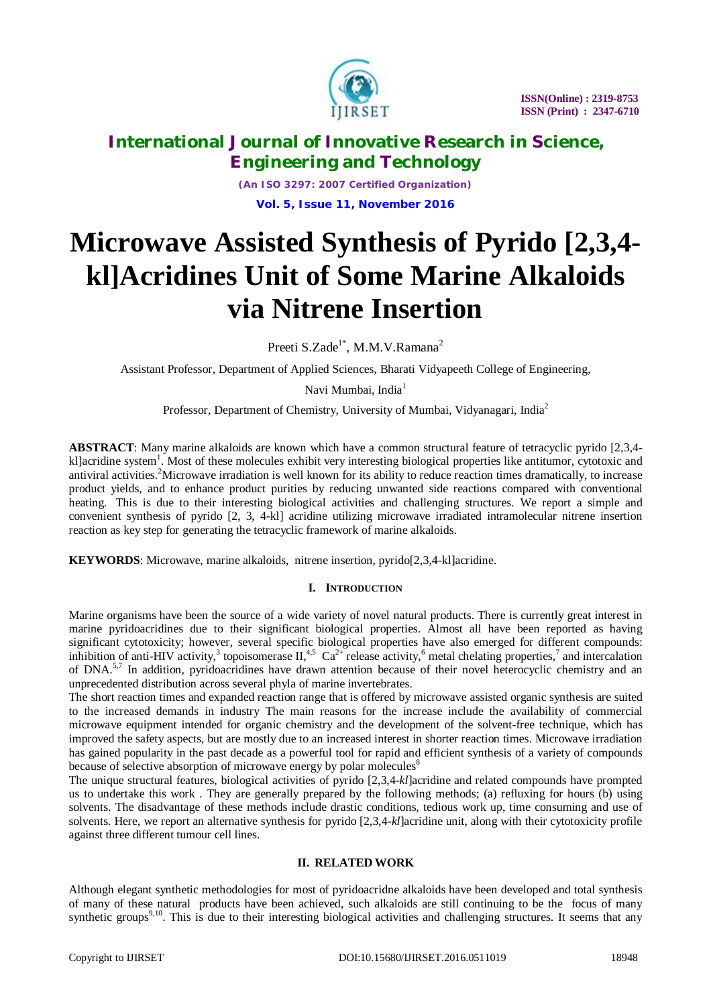

*(An ISO 3297: 2007 Certified Organization)* **Vol. 5, Issue 11, November 2016**

# **Microwave Assisted Synthesis of Pyrido [2,3,4 kl]Acridines Unit of Some Marine Alkaloids via Nitrene Insertion**

Preeti S.Zade<sup>1\*</sup>, M.M.V.Ramana<sup>2</sup>

Assistant Professor, Department of Applied Sciences, Bharati Vidyapeeth College of Engineering,

Navi Mumbai, India<sup>1</sup>

Professor, Department of Chemistry, University of Mumbai, Vidyanagari, India<sup>2</sup>

**ABSTRACT**: Many marine alkaloids are known which have a common structural feature of tetracyclic pyrido [2,3,4 kl]acridine system<sup>1</sup>. Most of these molecules exhibit very interesting biological properties like antitumor, cytotoxic and antiviral activities.<sup>2</sup>Microwave irradiation is well known for its ability to reduce reaction times dramatically, to increase product yields, and to enhance product purities by reducing unwanted side reactions compared with conventional heating. This is due to their interesting biological activities and challenging structures. We report a simple and convenient synthesis of pyrido [2, 3, 4-kl] acridine utilizing microwave irradiated intramolecular nitrene insertion reaction as key step for generating the tetracyclic framework of marine alkaloids.

**KEYWORDS**: Microwave, marine alkaloids, nitrene insertion, pyrido[2,3,4-kl]acridine.

# **I. INTRODUCTION**

Marine organisms have been the source of a wide variety of novel natural products. There is currently great interest in marine pyridoacridines due to their significant biological properties. Almost all have been reported as having significant cytotoxicity; however, several specific biological properties have also emerged for different compounds: inhibition of anti-HIV activity,<sup>3</sup> topoisomerase  $II$ ,<sup>4,5</sup>  $Ca^{2+}$  release activity,<sup>6</sup> metal chelating properties,<sup>7</sup> and intercalation of DNA.<sup>5,7</sup> In addition, pyridoacridines have drawn attention because of their novel heterocyclic chemistry and an unprecedented distribution across several phyla of marine invertebrates.

The short reaction times and expanded reaction range that is offered by microwave assisted organic synthesis are suited to the increased demands in industry The main reasons for the increase include the availability of commercial microwave equipment intended for organic chemistry and the development of the solvent-free technique, which has improved the safety aspects, but are mostly due to an increased interest in shorter reaction times. Microwave irradiation has gained popularity in the past decade as a powerful tool for rapid and efficient synthesis of a variety of compounds because of selective absorption of microwave energy by polar molecules<sup>8</sup>

The unique structural features, biological activities of pyrido [2,3,4-*kl*]acridine and related compounds have prompted us to undertake this work . They are generally prepared by the following methods; (a) refluxing for hours (b) using solvents. The disadvantage of these methods include drastic conditions, tedious work up, time consuming and use of solvents. Here, we report an alternative synthesis for pyrido [2,3,4-*kl*]acridine unit, along with their cytotoxicity profile against three different tumour cell lines.

# **II. RELATED WORK**

Although elegant synthetic methodologies for most of pyridoacridne alkaloids have been developed and total synthesis of many of these natural products have been achieved, such alkaloids are still continuing to be the focus of many synthetic groups<sup>9,10</sup>. This is due to their interesting biological activities and challenging structures. It seems that any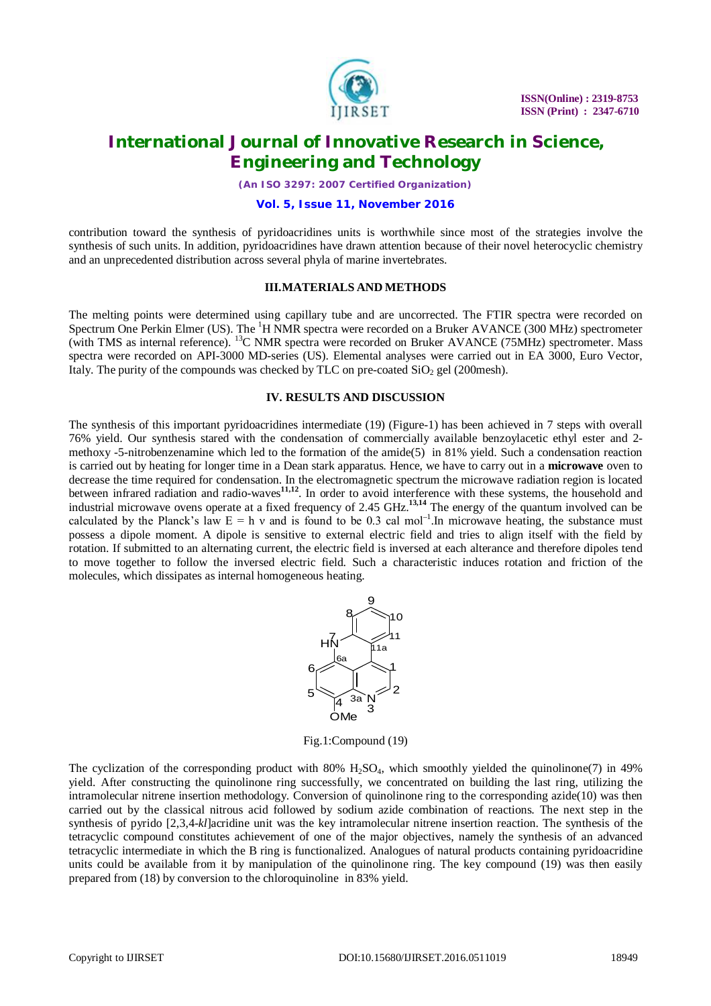

*(An ISO 3297: 2007 Certified Organization)*

## **Vol. 5, Issue 11, November 2016**

contribution toward the synthesis of pyridoacridines units is worthwhile since most of the strategies involve the synthesis of such units. In addition, pyridoacridines have drawn attention because of their novel heterocyclic chemistry and an unprecedented distribution across several phyla of marine invertebrates.

#### **III.MATERIALS AND METHODS**

The melting points were determined using capillary tube and are uncorrected. The FTIR spectra were recorded on Spectrum One Perkin Elmer (US). The  ${}^{1}H$  NMR spectra were recorded on a Bruker AVANCE (300 MHz) spectrometer (with TMS as internal reference). <sup>13</sup>C NMR spectra were recorded on Bruker AVANCE (75MHz) spectrometer. Mass spectra were recorded on API-3000 MD-series (US). Elemental analyses were carried out in EA 3000, Euro Vector, Italy. The purity of the compounds was checked by TLC on pre-coated  $SiO<sub>2</sub>$  gel (200mesh).

#### **IV. RESULTS AND DISCUSSION**

The synthesis of this important pyridoacridines intermediate (19) (Figure-1) has been achieved in 7 steps with overall 76% yield. Our synthesis stared with the condensation of commercially available benzoylacetic ethyl ester and 2 methoxy -5-nitrobenzenamine which led to the formation of the amide(5) in 81% yield. Such a condensation reaction is carried out by heating for longer time in a Dean stark apparatus. Hence, we have to carry out in a **microwave** oven to decrease the time required for condensation. In the electromagnetic spectrum the microwave radiation region is located between infrared radiation and radio-waves**11,12** . In order to avoid interference with these systems, the household and industrial microwave ovens operate at a fixed frequency of 2.45 GHz.**13,14** The energy of the quantum involved can be calculated by the Planck's law  $E = h v$  and is found to be 0.3 cal mol<sup>-1</sup>. In microwave heating, the substance must possess a dipole moment. A dipole is sensitive to external electric field and tries to align itself with the field by rotation. If submitted to an alternating current, the electric field is inversed at each alterance and therefore dipoles tend to move together to follow the inversed electric field. Such a characteristic induces rotation and friction of the molecules, which dissipates as internal homogeneous heating.



Fig.1:Compound (19)

The cyclization of the corresponding product with  $80\%$  H<sub>2</sub>SO<sub>4</sub>, which smoothly yielded the quinolinone(7) in 49% yield. After constructing the quinolinone ring successfully, we concentrated on building the last ring, utilizing the intramolecular nitrene insertion methodology. Conversion of quinolinone ring to the corresponding azide(10) was then carried out by the classical nitrous acid followed by sodium azide combination of reactions. The next step in the synthesis of pyrido [2,3,4-*kl*]acridine unit was the key intramolecular nitrene insertion reaction. The synthesis of the tetracyclic compound constitutes achievement of one of the major objectives, namely the synthesis of an advanced tetracyclic intermediate in which the B ring is functionalized. Analogues of natural products containing pyridoacridine units could be available from it by manipulation of the quinolinone ring. The key compound (19) was then easily prepared from (18) by conversion to the chloroquinoline in 83% yield.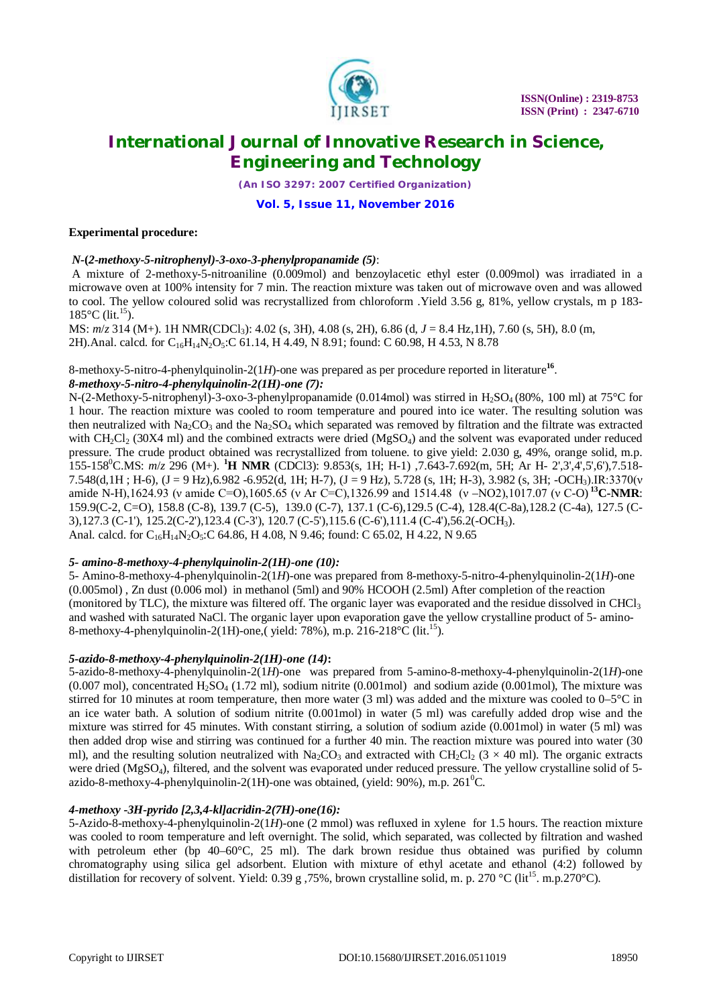

*(An ISO 3297: 2007 Certified Organization)*

**Vol. 5, Issue 11, November 2016**

# **Experimental procedure:**

# *N-***(***2-methoxy-5-nitrophenyl)-3-oxo-3-phenylpropanamide (5)*:

A mixture of 2-methoxy-5-nitroaniline (0.009mol) and benzoylacetic ethyl ester (0.009mol) was irradiated in a microwave oven at 100% intensity for 7 min. The reaction mixture was taken out of microwave oven and was allowed to cool. The yellow coloured solid was recrystallized from chloroform .Yield 3.56 g, 81%, yellow crystals, m p 183-  $185^{\circ}$ C (lit.<sup>15</sup>).

MS: *m*/*z* 314 (M+). 1H NMR(CDCl3): 4.02 (s, 3H), 4.08 (s, 2H), 6.86 (d, *J* = 8.4 Hz,1H), 7.60 (s, 5H), 8.0 (m, 2H).Anal. calcd. for C<sub>16</sub>H<sub>14</sub>N<sub>2</sub>O<sub>5</sub>:C 61.14, H 4.49, N 8.91; found: C 60.98, H 4.53, N 8.78

# 8-methoxy-5-nitro-4-phenylquinolin-2(1*H*)-one was prepared as per procedure reported in literature**<sup>16</sup>** . *8-methoxy-5-nitro-4-phenylquinolin-2(1H)-one (7):*

N-(2-Methoxy-5-nitrophenyl)-3-oxo-3-phenylpropanamide (0.014mol) was stirred in H<sub>2</sub>SO<sub>4</sub> (80%, 100 ml) at 75<sup>o</sup>C for 1 hour. The reaction mixture was cooled to room temperature and poured into ice water. The resulting solution was then neutralized with  $Na_2CO_3$  and the  $Na_2SO_4$  which separated was removed by filtration and the filtrate was extracted with CH<sub>2</sub>Cl<sub>2</sub> (30X4 ml) and the combined extracts were dried (MgSO<sub>4</sub>) and the solvent was evaporated under reduced pressure. The crude product obtained was recrystallized from toluene. to give yield: 2.030 g, 49%, orange solid, m.p. 155-158<sup>0</sup>C.MS: *m*/*z* 296 (M+). **<sup>1</sup>H NMR** (CDCl3): 9.853(s, 1H; H-1) ,7.643-7.692(m, 5H; Ar H- 2',3',4',5',6'),7.518- 7.548(d,1H ; H-6), (J = 9 Hz),6.982 -6.952(d, 1H; H-7), (J = 9 Hz), 5.728 (s, 1H; H-3), 3.982 (s, 3H; -OCH3).IR:3370(ν amide N-H),1624.93 (ν amide C=O),1605.65 (ν Ar C=C),1326.99 and 1514.48 (ν –NO2),1017.07 (ν C-O) **<sup>13</sup>C-NMR**: 159.9(C-2, C=O), 158.8 (C-8), 139.7 (C-5), 139.0 (C-7), 137.1 (C-6),129.5 (C-4), 128.4(C-8a),128.2 (C-4a), 127.5 (C-3),127.3 (C-1'), 125.2(C-2'),123.4 (C-3'), 120.7 (C-5'),115.6 (C-6'),111.4 (C-4'),56.2(-OCH3). Anal. calcd. for C<sub>16</sub>H<sub>14</sub>N<sub>2</sub>O<sub>5</sub>:C 64.86, H 4.08, N 9.46; found: C 65.02, H 4.22, N 9.65

# *5- amino-8-methoxy-4-phenylquinolin-2(1H)-one (10):*

5- Amino-8-methoxy-4-phenylquinolin-2(1*H*)-one was prepared from 8-methoxy-5-nitro-4-phenylquinolin-2(1*H*)-one (0.005mol) , Zn dust (0.006 mol) in methanol (5ml) and 90% HCOOH (2.5ml) After completion of the reaction (monitored by TLC), the mixture was filtered off. The organic layer was evaporated and the residue dissolved in CHCl<sub>3</sub> and washed with saturated NaCl. The organic layer upon evaporation gave the yellow crystalline product of 5- amino-8-methoxy-4-phenylquinolin-2(1H)-one,( yield: 78%), m.p. 216-218°C (lit.<sup>15</sup>).

# *5-azido-8-methoxy-4-phenylquinolin-2(1H)-one (14)***:**

5-azido-8-methoxy-4-phenylquinolin-2(1*H*)-one was prepared from 5-amino-8-methoxy-4-phenylquinolin-2(1*H*)-one (0.007 mol), concentrated  $H_2SO_4$  (1.72 ml), sodium nitrite (0.001mol) and sodium azide (0.001mol), The mixture was stirred for 10 minutes at room temperature, then more water  $(3 \text{ ml})$  was added and the mixture was cooled to  $0-5^{\circ}\text{C}$  in an ice water bath. A solution of sodium nitrite (0.001mol) in water (5 ml) was carefully added drop wise and the mixture was stirred for 45 minutes. With constant stirring, a solution of sodium azide (0.001mol) in water (5 ml) was then added drop wise and stirring was continued for a further 40 min. The reaction mixture was poured into water (30 ml), and the resulting solution neutralized with Na<sub>2</sub>CO<sub>3</sub> and extracted with CH<sub>2</sub>Cl<sub>2</sub> (3  $\times$  40 ml). The organic extracts were dried ( $MgSO<sub>4</sub>$ ), filtered, and the solvent was evaporated under reduced pressure. The yellow crystalline solid of 5azido-8-methoxy-4-phenylquinolin-2(1H)-one was obtained, (yield:  $90\%$ ), m.p.  $261^0C$ .

# *4-methoxy -3H-pyrido [2,3,4-kl]acridin-2(7H)-one(16):*

5-Azido-8-methoxy-4-phenylquinolin-2(1*H*)-one (2 mmol) was refluxed in xylene for 1.5 hours. The reaction mixture was cooled to room temperature and left overnight. The solid, which separated, was collected by filtration and washed with petroleum ether (bp 40–60°C, 25 ml). The dark brown residue thus obtained was purified by column chromatography using silica gel adsorbent. Elution with mixture of ethyl acetate and ethanol (4:2) followed by distillation for recovery of solvent. Yield: 0.39 g ,75%, brown crystalline solid, m. p. 270 °C (lit<sup>15</sup>. m.p.270°C).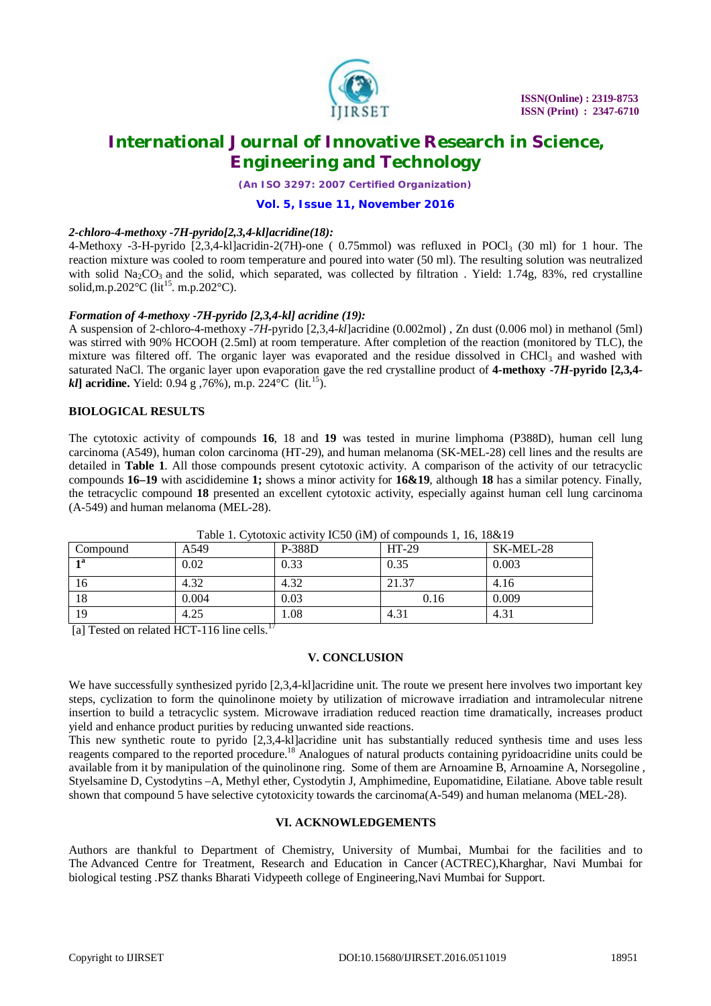

*(An ISO 3297: 2007 Certified Organization)*

## **Vol. 5, Issue 11, November 2016**

## *2-chloro-4-methoxy -7H-pyrido[2,3,4-kl]acridine(18):*

4-Methoxy -3-H-pyrido  $[2,3,4-kl]$ acridin-2(7H)-one ( 0.75mmol) was refluxed in POCl<sub>3</sub> (30 ml) for 1 hour. The reaction mixture was cooled to room temperature and poured into water (50 ml). The resulting solution was neutralized with solid  $Na<sub>2</sub>CO<sub>3</sub>$  and the solid, which separated, was collected by filtration . Yield: 1.74g, 83%, red crystalline solid,m.p.202 $^{\circ}$ C (lit<sup>15</sup>. m.p.202 $^{\circ}$ C).

# *Formation of 4-methoxy -7H-pyrido [2,3,4-kl] acridine (19):*

A suspension of 2-chloro-4-methoxy -*7H*-pyrido [2,3,4-*kl*]acridine (0.002mol) , Zn dust (0.006 mol) in methanol (5ml) was stirred with 90% HCOOH (2.5ml) at room temperature. After completion of the reaction (monitored by TLC), the mixture was filtered off. The organic layer was evaporated and the residue dissolved in  $CHCl<sub>3</sub>$  and washed with saturated NaCl. The organic layer upon evaporation gave the red crystalline product of **4-methoxy -7***H***-pyrido [2,3,4** *kl*] acridine. Yield: 0.94 g ,76%), m.p. 224 °C (lit.<sup>15</sup>).

# **BIOLOGICAL RESULTS**

The cytotoxic activity of compounds **16**, 18 and **19** was tested in murine limphoma (P388D), human cell lung carcinoma (A549), human colon carcinoma (HT-29), and human melanoma (SK-MEL-28) cell lines and the results are detailed in **Table 1**. All those compounds present cytotoxic activity. A comparison of the activity of our tetracyclic compounds **16–19** with ascididemine **1;** shows a minor activity for **16&19**, although **18** has a similar potency. Finally, the tetracyclic compound **18** presented an excellent cytotoxic activity, especially against human cell lung carcinoma (A-549) and human melanoma (MEL-28).

| Compound     | A549  | <b>P-388D</b> | $HT-29$ | SK-MEL-28 |
|--------------|-------|---------------|---------|-----------|
| - 1 <b>a</b> | 0.02  | 0.33          | 0.35    | 0.003     |
| 16           | 4.32  | 4.32          | 21.37   | 4.16      |
| 18           | 0.004 | 0.03          | 0.16    | 0.009     |
| 19           | 4.25  | .08           | 4.31    | 4.31      |

Table 1. Cytotoxic activity IC50 (ìM) of compounds 1, 16, 18&19

[a] Tested on related HCT-116 line cells.<sup>17</sup>

# **V. CONCLUSION**

We have successfully synthesized pyrido [2,3,4-kl]acridine unit. The route we present here involves two important key steps, cyclization to form the quinolinone moiety by utilization of microwave irradiation and intramolecular nitrene insertion to build a tetracyclic system. Microwave irradiation reduced reaction time dramatically, increases product yield and enhance product purities by reducing unwanted side reactions.

This new synthetic route to pyrido [2,3,4-kl]acridine unit has substantially reduced synthesis time and uses less reagents compared to the reported procedure.<sup>18</sup> Analogues of natural products containing pyridoacridine units could be available from it by manipulation of the quinolinone ring. Some of them are Arnoamine B, Arnoamine A, Norsegoline , Styelsamine D, Cystodytins –A, Methyl ether, Cystodytin J, Amphimedine, Eupomatidine, Eilatiane. Above table result shown that compound 5 have selective cytotoxicity towards the carcinoma(A-549) and human melanoma (MEL-28).

## **VI. ACKNOWLEDGEMENTS**

Authors are thankful to Department of Chemistry, University of Mumbai, Mumbai for the facilities and to The Advanced Centre for Treatment, Research and Education in Cancer (ACTREC),Kharghar, Navi Mumbai for biological testing .PSZ thanks Bharati Vidypeeth college of Engineering,Navi Mumbai for Support.